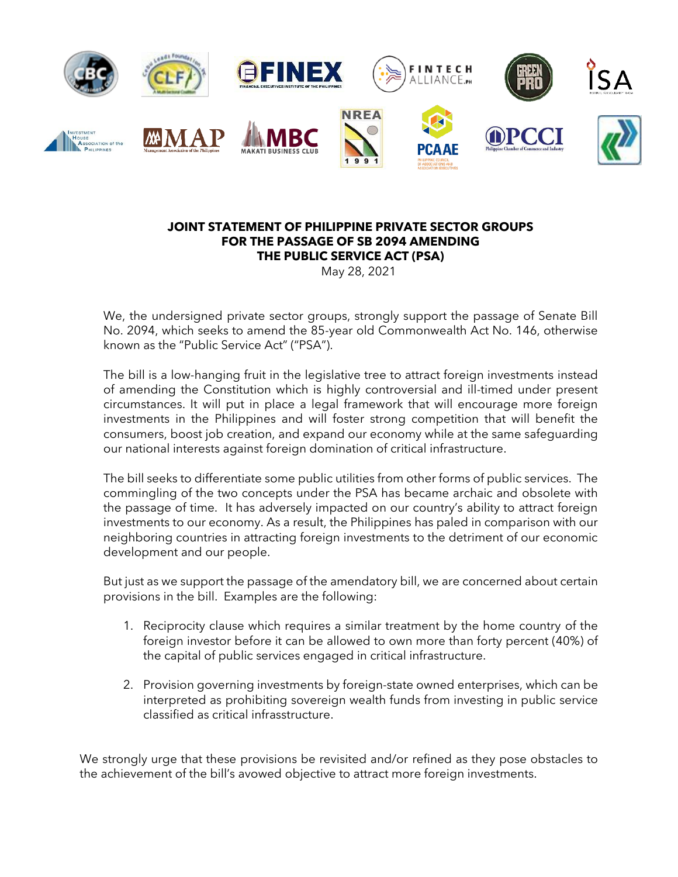

## **JOINT STATEMENT OF PHILIPPINE PRIVATE SECTOR GROUPS FOR THE PASSAGE OF SB 2094 AMENDING THE PUBLIC SERVICE ACT (PSA)**

May 28, 2021

We, the undersigned private sector groups, strongly support the passage of Senate Bill No. 2094, which seeks to amend the 85-year old Commonwealth Act No. 146, otherwise known as the "Public Service Act" ("PSA").

The bill is a low-hanging fruit in the legislative tree to attract foreign investments instead of amending the Constitution which is highly controversial and ill-timed under present circumstances. It will put in place a legal framework that will encourage more foreign investments in the Philippines and will foster strong competition that will benefit the consumers, boost job creation, and expand our economy while at the same safeguarding our national interests against foreign domination of critical infrastructure.

The bill seeks to differentiate some public utilities from other forms of public services. The commingling of the two concepts under the PSA has became archaic and obsolete with the passage of time. It has adversely impacted on our country's ability to attract foreign investments to our economy. As a result, the Philippines has paled in comparison with our neighboring countries in attracting foreign investments to the detriment of our economic development and our people.

But just as we support the passage of the amendatory bill, we are concerned about certain provisions in the bill. Examples are the following:

- 1. Reciprocity clause which requires a similar treatment by the home country of the foreign investor before it can be allowed to own more than forty percent (40%) of the capital of public services engaged in critical infrastructure.
- 2. Provision governing investments by foreign-state owned enterprises, which can be interpreted as prohibiting sovereign wealth funds from investing in public service classified as critical infrasstructure.

We strongly urge that these provisions be revisited and/or refined as they pose obstacles to the achievement of the bill's avowed objective to attract more foreign investments.